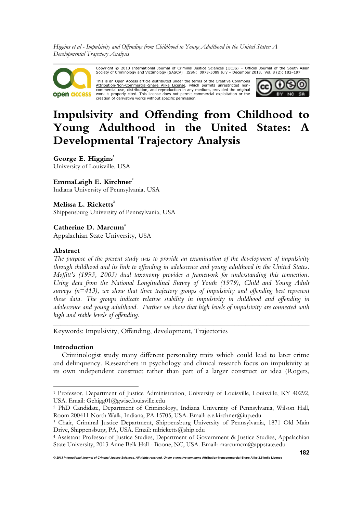open access

Copyright © 2013 International Journal of Criminal Justice Sciences (IJCJS) – Official Journal of the South Asian Society of Criminology and Victimology (SASCV) ISSN: 0973-5089 July – December 2013. Vol. 8 (2): 182–197

This is an Open Access article distributed under the terms of the Creative Commons <u>Attribution-Non-Commercial-Share Alike License</u>, which permits unrestricted non-<br>commercial use, distribution, and reproduction in any medium, provided the original<br>work is properly cited. This license does not permit com creation of derivative works without specific permission.



# **Impulsivity and Offending from Childhood to Young Adulthood in the United States: A Developmental Trajectory Analysis**

George E. Higgins<sup>1</sup> University of Louisville, USA

# ${\bf Emm}$ a ${\bf Lieigh\ E.\ Kirchner}^2$

Indiana University of Pennsylvania, USA

Melissa L. Ricketts<sup>3</sup> Shippensburg University of Pennsylvania, USA

**Catherine D. Marcum<sup>4</sup>**  Appalachian State University, USA

# **Abstract**

*The purpose of the present study was to provide an examination of the development of impulsivity through childhood and its link to offending in adolescence and young adulthood in the United States. Moffitt's (1993, 2003) dual taxonomy provides a framework for understanding this connection. Using data from the National Longitudinal Survey of Youth (1979), Child and Young Adult surveys (n=413), we show that three trajectory groups of impulsivity and offending best represent these data. The groups indicate relative stability in impulsivity in childhood and offending in adolescence and young adulthood. Further we show that high levels of impulsivity are connected with high and stable levels of offending.* 

*\_\_\_\_\_\_\_\_\_\_\_\_\_\_\_\_\_\_\_\_\_\_\_\_\_\_\_\_\_\_\_\_\_\_\_\_\_\_\_\_\_\_\_\_\_\_\_\_\_\_\_\_\_\_\_\_\_\_\_\_\_\_\_\_\_\_\_\_\_\_\_\_*

Keywords: Impulsivity, Offending, development, Trajectories

# **Introduction**

Criminologist study many different personality traits which could lead to later crime and delinquency. Researchers in psychology and clinical research focus on impulsivity as its own independent construct rather than part of a larger construct or idea (Rogers,

<sup>&</sup>lt;sup>1</sup> Professor, Department of Justice Administration, University of Louisville, Louisville, KY 40292, USA. Email: Gehigg01@gwise.louisville.edu

<sup>2</sup> PhD Candidate, Department of Criminology, Indiana University of Pennsylvania, Wilson Hall,

Room 200411 North Walk, Indiana, PA 15705, USA. Email: e.e.kirchner@iup.edu<br><sup>3</sup> Chair, Criminal Justice Department, Shippensburg University of Pennsylvania, 1871 Old Main Drive, Shippensburg, PA, USA. Email: mlricketts@ship.edu

<sup>4</sup> Assistant Professor of Justice Studies, Department of Government & Justice Studies, Appalachian State University, 2013 Anne Belk Hall - Boone, NC, USA. Email: marcumcm@appstate.edu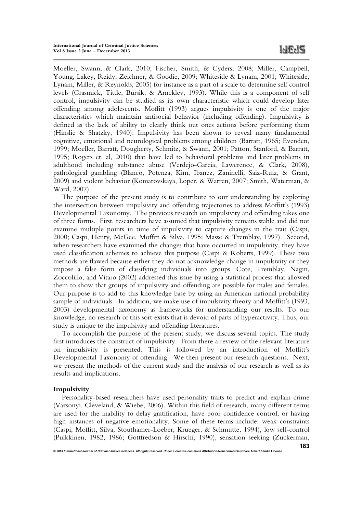Moeller, Swann, & Clark, 2010; Fischer, Smith, & Cyders, 2008; Miller, Campbell, Young, Lakey, Reidy, Zeichner, & Goodie, 2009; Whiteside & Lynam, 2001; Whiteside, Lynam, Miller, & Reynolds, 2005) for instance as a part of a scale to determine self control levels (Grasmick, Tittle, Bursik, & Arneklev, 1993). While this is a component of self control, impulsivity can be studied as its own characteristic which could develop later offending among adolescents. Moffitt (1993) argues impulsivity is one of the major characteristics which maintain antisocial behavior (including offending). Impulsivity is defined as the lack of ability to clearly think out ones actions before performing them (Hinslie & Shatzky, 1940). Impulsivity has been shown to reveal many fundamental cognitive, emotional and neurological problems among children (Barratt, 1965; Evenden, 1999; Moeller, Barratt, Dougherty, Schmitz, & Swann, 2001; Patton, Stanford, & Barratt, 1995; Rogers et. al, 2010) that have led to behavioral problems and later problems in adulthood including substance abuse (Verdejo-Garcia, Lawerence, & Clark, 2008), pathological gambling (Blanco, Potenza, Kim, Ibanez, Zaninelli, Saiz-Ruiz, & Grant, 2009) and violent behavior (Komarovskaya, Loper, & Warren, 2007; Smith, Waterman, & Ward, 2007).

The purpose of the present study is to contribute to our understanding by exploring the intersection between impulsivity and offending trajectories to address Moffitt's (1993) Developmental Taxonomy. The previous research on impulsivity and offending takes one of three forms. First, researchers have assumed that impulsivity remains stable and did not examine multiple points in time of impulsivity to capture changes in the trait (Caspi, 2000; Caspi, Henry, McGee, Moffitt & Silva, 1995; Masse & Tremblay, 1997). Second, when researchers have examined the changes that have occurred in impulsivity, they have used classification schemes to achieve this purpose (Caspi & Roberts, 1999). These two methods are flawed because either they do not acknowledge change in impulsivity or they impose a false form of classifying individuals into groups. Cote, Tremblay, Nagin, Zoccolillo, and Vitaro (2002) addressed this issue by using a statistical process that allowed them to show that groups of impulsivity and offending are possible for males and females. Our purpose is to add to this knowledge base by using an American national probability sample of individuals. In addition, we make use of impulsivity theory and Moffitt's (1993, 2003) developmental taxonomy as frameworks for understanding our results. To our knowledge, no research of this sort exists that is devoid of parts of hyperactivity. Thus, our study is unique to the impulsivity and offending literatures.

To accomplish the purpose of the present study, we discuss several topics. The study first introduces the construct of impulsivity. From there a review of the relevant literature on impulsivity is presented. This is followed by an introduction of Moffitt's Developmental Taxonomy of offending. We then present our research questions. Next, we present the methods of the current study and the analysis of our research as well as its results and implications.

# **Impulsivity**

Personality-based researchers have used personality traits to predict and explain crime (Vazsonyi, Cleveland, & Wiebe, 2006). Within this field of research, many different terms are used for the inability to delay gratification, have poor confidence control, or having high instances of negative emotionality. Some of these terms include: weak constraints (Caspi, Moffitt, Silva, Stouthamer-Loeber, Krueger, & Schmutte, 1994), low self-control (Pulkkinen, 1982, 1986; Gottfredson & Hirschi, 1990), sensation seeking (Zuckerman,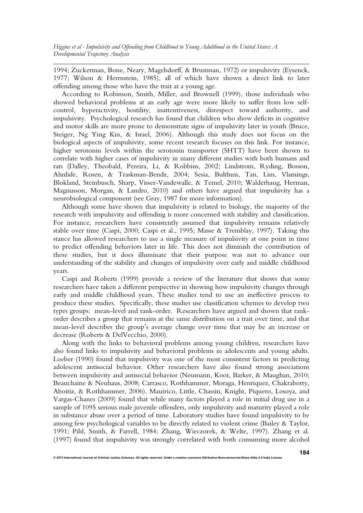1994; Zuckerman, Bone, Neary, Magelsdorff, & Brustman, 1972) or impulsivity (Eysenck, 1977; Wilson & Herrnstein, 1985), all of which have shown a direct link to later offending among those who have the trait at a young age.

According to Robinson, Smith, Miller, and Brownell (1999), those individuals who showed behavioral problems at an early age were more likely to suffer from low selfcontrol, hyperactivity, hostility, inattentiveness, disrespect toward authority, and impulsivity. Psychological research has found that children who show deficits in cognitive and motor skills are more prone to demonstrate signs of impulsivity later in youth (Bruce, Steiger, Ng Ying Kin, & Israel, 2006). Although this study does not focus on the biological aspects of impulsivity, some recent research focuses on this link. For instance, higher serotonin levels within the serotonin transporter (5HTT) have been shown to correlate with higher cases of impulsivity in many different studies with both humans and rats (Dalley, Theobald, Pereira, Li, & Robbins, 2002; Lindstrom, Ryding, Bosson, Ahnlide, Rosen, & Traskman-Bendz, 2004; Sesia, Bulthuis, Tan, Lim, Vlamings, Blokland, Steinbusch, Sharp, Visser-Vandewalle, & Temel, 2010; Walderhaug, Herman, Magnusson, Morgan, & Landro, 2010) and others have argued that impulsivity has a neurobiological component (see Gray, 1987 for more information).

Although some have shown that impulsivity is related to biology, the majority of the research with impulsivity and offending is more concerned with stability and classification. For instance, researchers have consistently assumed that impulsivity remains relatively stable over time (Caspi, 2000; Caspi et al., 1995; Masse & Tremblay, 1997). Taking this stance has allowed researchers to use a single measure of impulsivity at one point in time to predict offending behaviors later in life. This does not diminish the contribution of these studies, but it does illuminate that their purpose was not to advance our understanding of the stability and changes of impulsivity over early and middle childhood years.

Caspi and Roberts (1999) provide a review of the literature that shows that some researchers have taken a different perspective in showing how impulsivity changes through early and middle childhood years. These studies tend to use an ineffective process to produce these studies. Specifically, these studies use classification schemes to develop two types groups: mean-level and rank-order. Researchers have argued and shown that rankorder describes a group that remains at the same distribution on a trait over time, and that mean-level describes the group's average change over time that may be an increase or decrease (Roberts & DelVecchio, 2000).

Along with the links to behavioral problems among young children, researchers have also found links to impulsivity and behavioral problems in adolescents and young adults. Loeber (1990) found that impulsivity was one of the most consistent factors in predicting adolescent antisocial behavior. Other researchers have also found strong associations between impulsivity and antisocial behavior (Neumann, Koot, Barker, & Maughan, 2010; Beauchaine & Neuhaus, 2008; Carrasco, Rothhammer, Moraga, Henriquez, Chakraborty, Aboitiz, & Rothhammer, 2006). Mauirico, Little, Chassin, Knight, Piquero, Losoya, and Vargas-Chanes (2009) found that while many factors played a role in initial drug use in a sample of 1095 serious male juvenile offenders, only impulsivity and maturity played a role in substance abuse over a period of time. Laboratory studies have found impulsivity to be among few psychological variables to be directly related to violent crime (Bailey & Taylor, 1991; Pihl, Smith, & Farrell, 1984; Zhang, Wieczorek, & Welte, 1997). Zhang et al. (1997) found that impulsivity was strongly correlated with both consuming more alcohol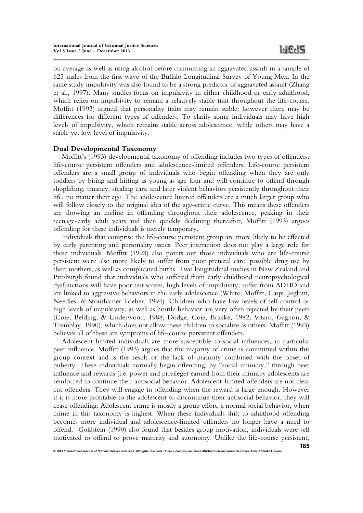on average as well as using alcohol before committing an aggravated assault in a sample of 625 males from the first wave of the Buffalo Longitudinal Survey of Young Men. In the same study impulsivity was also found to be a strong predictor of aggravated assault (Zhang et al., 1997). Many studies focus on impulsivity in either childhood or early adulthood, which relies on impulsivity to remain a relatively stable trait throughout the life-course. Moffitt (1993) argued that personality traits may remain stable; however there may be differences for different types of offenders. To clarify some individuals may have high levels of impulsivity, which remains stable across adolescence, while others may have a stable yet low level of impulsivity.

## **Dual Developmental Taxonomy**

Moffitt's (1993) developmental taxonomy of offending includes two types of offenders: life-course persistent offenders and adolescence-limited offenders. Life-course persistent offenders are a small group of individuals who begin offending when they are only toddlers by biting and hitting as young as age four and will continue to offend through shoplifting, truancy, stealing cars, and later violent behaviors persistently throughout their life, no matter their age. The adolescence limited offenders are a much larger group who will follow closely to the original idea of the age-crime curve. This means these offenders are showing an incline in offending throughout their adolescence, peaking in their teenage-early adult years and then quickly declining thereafter, Moffitt (1993) argues offending for these individuals is merely temporary.

Individuals that comprise the life-course persistent group are more likely to be effected by early parenting and personality issues. Peer interaction does not play a large role for these individuals. Moffitt (1993) also points out those individuals who are life-course persistent were also more likely to suffer from poor prenatal care, possible drug use by their mothers, as well as complicated births. Two longitudinal studies in New Zealand and Pittsburgh found that individuals who suffered from early childhood neuropsychological dysfunctions will have poor test scores, high levels of impulsivity, suffer from ADHD and are linked to aggressive behaviors in the early adolescence (White, Moffitt, Caspi, Jeglum, Needles, & Stouthamer-Loeber, 1994). Children who have low levels of self-control or high levels of impulsivity, as well as hostile behavior are very often rejected by their peers (Coie, Belding, & Underwood, 1988; Dodge, Coie, Brakke, 1982; Vitaro, Gagnon, & Tremblay, 1990), which does not allow these children to socialize as others. Moffitt (1993) believes all of these are symptoms of life-course persistent offenders.

Adolescent-limited individuals are more susceptible to social influences, in particular peer influence. Moffitt (1993) argues that the majority of crime is committed within this group context and is the result of the lack of maturity combined with the onset of puberty. These individuals normally begin offending, by "social mimicry," through peer influence and rewards (i.e. power and privilege) earned from their mimicry adolescents are reinforced to continue their antisocial behavior. Adolescent-limited offenders are not clear cut offenders. They will engage in offending when the reward is large enough. However if it is more profitable to the adolescent to discontinue their antisocial behavior, they will cease offending. Adolescent crime is mostly a group effort, a normal social behavior, when crime in this taxonomy is highest. When these individuals shift to adulthood offending becomes more individual and adolescence-limited offenders no longer have a need to offend. Goldstein (1990) also found that besides group motivation, individuals were self motivated to offend to prove maturity and autonomy. Unlike the life-course persistent,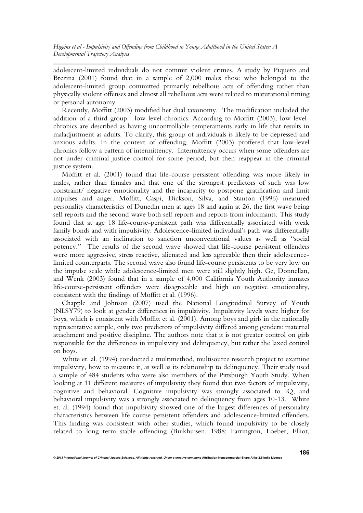adolescent-limited individuals do not commit violent crimes. A study by Piquero and Brezina (2001) found that in a sample of 2,000 males those who belonged to the adolescent-limited group committed primarily rebellious acts of offending rather than physically violent offenses and almost all rebellious acts were related to maturational timing or personal autonomy.

Recently, Moffitt (2003) modified her dual taxonomy. The modification included the addition of a third group: low level-chronics. According to Moffitt (2003), low levelchronics are described as having uncontrollable temperaments early in life that results in maladjustment as adults. To clarify, this group of individuals is likely to be depressed and anxious adults. In the context of offending, Moffitt (2003) proffered that low-level chronics follow a pattern of intermittency. Intermittency occurs when some offenders are not under criminal justice control for some period, but then reappear in the criminal justice system.

Moffitt et al. (2001) found that life-course persistent offending was more likely in males, rather than females and that one of the strongest predictors of such was low constraint/ negative emotionality and the incapacity to postpone gratification and limit impulses and anger. Moffitt, Caspi, Dickson, Silva, and Stanton (1996) measured personality characteristics of Dunedin men at ages 18 and again at 26, the first wave being self reports and the second wave both self reports and reports from informants. This study found that at age 18 life-course-persistent path was differentially associated with weak family bonds and with impulsivity. Adolescence-limited individual's path was differentially associated with an inclination to sanction unconventional values as well as "social potency." The results of the second wave showed that life-course persistent offenders were more aggressive, stress reactive, alienated and less agreeable then their adolescencelimited counterparts. The second wave also found life-course persistents to be very low on the impulse scale while adolescence-limited men were still slightly high. Ge, Donnellan, and Wenk (2003) found that in a sample of 4,000 California Youth Authority inmates life-course-persistent offenders were disagreeable and high on negative emotionality, consistent with the findings of Moffitt et al. (1996).

Chapple and Johnson (2007) used the National Longitudinal Survey of Youth (NLSY79) to look at gender differences in impulsivity. Impulsivity levels were higher for boys, which is consistent with Moffitt et al. (2001). Among boys and girls in the nationally representative sample, only two predictors of impulsivity differed among genders: maternal attachment and positive discipline. The authors note that it is not greater control on girls responsible for the differences in impulsivity and delinquency, but rather the laxed control on boys.

White et. al. (1994) conducted a multimethod, multisource research project to examine impulsivity, how to measure it, as well as its relationship to delinquency. Their study used a sample of 484 students who were also members of the Pittsburgh Youth Study. When looking at 11 different measures of impulsivity they found that two factors of impulsivity, cognitive and behavioral. Cognitive impulsivity was strongly associated to IQ, and behavioral impulsivity was a strongly associated to delinquency from ages 10-13. White et. al. (1994) found that impulsivity showed one of the largest differences of personality characteristics between life course persistent offenders and adolescence-limited offenders. This finding was consistent with other studies, which found impulsivity to be closely related to long term stable offending (Buikhuisen, 1988; Farrington, Loeber, Elliot,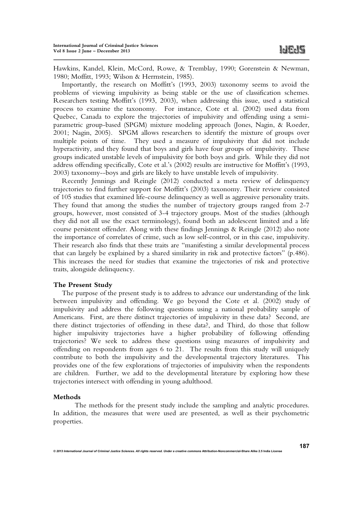Hawkins, Kandel, Klein, McCord, Rowe, & Tremblay, 1990; Gorenstein & Newman, 1980; Moffitt, 1993; Wilson & Herrnstein, 1985).

Importantly, the research on Moffitt's (1993, 2003) taxonomy seems to avoid the problems of viewing impulsivity as being stable or the use of classification schemes. Researchers testing Moffitt's (1993, 2003), when addressing this issue, used a statistical process to examine the taxonomy. For instance, Cote et al. (2002) used data from Quebec, Canada to explore the trajectories of impulsivity and offending using a semiparametric group-based (SPGM) mixture modeling approach (Jones, Nagin, & Roeder, 2001; Nagin, 2005). SPGM allows researchers to identify the mixture of groups over multiple points of time. They used a measure of impulsivity that did not include hyperactivity, and they found that boys and girls have four groups of impulsivity. These groups indicated unstable levels of impulsivity for both boys and girls. While they did not address offending specifically, Cote et al.'s (2002) results are instructive for Moffitt's (1993, 2003) taxonomy--boys and girls are likely to have unstable levels of impulsivity.

Recently Jennings and Reingle (2012) conducted a meta review of delinquency trajectories to find further support for Moffitt's (2003) taxonomy. Their review consisted of 105 studies that examined life-course delinquency as well as aggressive personality traits. They found that among the studies the number of trajectory groups ranged from 2-7 groups, however, most consisted of 3-4 trajectory groups. Most of the studies (although they did not all use the exact terminology), found both an adolescent limited and a life course persistent offender. Along with these findings Jennings & Reingle (2012) also note the importance of correlates of crime, such as low self-control, or in this case, impulsivity. Their research also finds that these traits are "manifesting a similar developmental process that can largely be explained by a shared similarity in risk and protective factors" (p.486). This increases the need for studies that examine the trajectories of risk and protective traits, alongside delinquency.

#### **The Present Study**

The purpose of the present study is to address to advance our understanding of the link between impulsivity and offending. We go beyond the Cote et al. (2002) study of impulsivity and address the following questions using a national probability sample of Americans. First, are there distinct trajectories of impulsivity in these data? Second, are there distinct trajectories of offending in these data?, and Third, do those that follow higher impulsivity trajectories have a higher probability of following offending trajectories? We seek to address these questions using measures of impulsivity and offending on respondents from ages 6 to 21. The results from this study will uniquely contribute to both the impulsivity and the developmental trajectory literatures. This provides one of the few explorations of trajectories of impulsivity when the respondents are children. Further, we add to the developmental literature by exploring how these trajectories intersect with offending in young adulthood.

# **Methods**

 The methods for the present study include the sampling and analytic procedures. In addition, the measures that were used are presented, as well as their psychometric properties.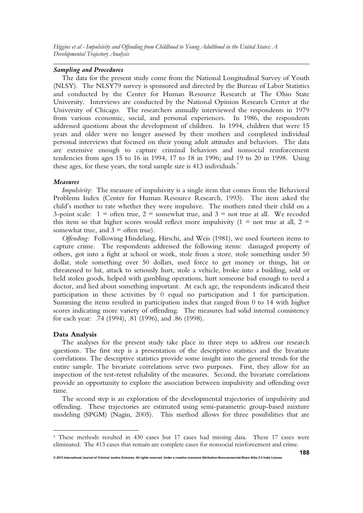#### *Sampling and Procedures*

The data for the present study come from the National Longitudinal Survey of Youth (NLSY). The NLSY79 survey is sponsored and directed by the Bureau of Labor Statistics and conducted by the Center for Human Resource Research at The Ohio State University. Interviews are conducted by the National Opinion Research Center at the University of Chicago. The researchers annually interviewed the respondents in 1979 from various economic, social, and personal experiences. In 1986, the respondents addressed questions about the development of children. In 1994, children that were 15 years and older were no longer assessed by their mothers and completed individual personal interviews that focused on their young adult attitudes and behaviors. The data are extensive enough to capture criminal behaviors and nonsocial reinforcement tendencies from ages 15 to 16 in 1994, 17 to 18 in 1996; and 19 to 20 in 1998. Using these ages, for these years, the total sample size is 413 individuals.<sup>5</sup>

#### *Measures*

*Impulsivity*: The measure of impulsivity is a single item that comes from the Behavioral Problems Index (Center for Human Resource Research, 1993). The item asked the child's mother to rate whether they were impulsive. The mothers rated their child on a 3-point scale:  $1 =$  often true,  $2 =$  somewhat true, and  $3 =$  not true at all. We recoded this item so that higher scores would reflect more impulsivity  $(1 = not true at all, 2 =$ somewhat true, and  $3 =$  often true).

*Offending:* Following Hindelang, Hirschi, and Weis (1981), we used fourteen items to capture crime. The respondents addressed the following items: damaged property of others, got into a fight at school or work, stole from a store, stole something under 50 dollar, stole something over 50 dollars, used force to get money or things, hit or threatened to hit, attack to seriously hurt, stole a vehicle, broke into a building, sold or held stolen goods, helped with gambling operations, hurt someone bad enough to need a doctor, and lied about something important. At each age, the respondents indicated their participation in these activities by 0 equal no participation and 1 for participation. Summing the items resulted in participation index that ranged from 0 to 14 with higher scores indicating more variety of offending. The measures had solid internal consistency for each year: .74 (1994), .81 (1996), and .86 (1998).

#### **Data Analysis**

The analyses for the present study take place in three steps to address our research questions. The first step is a presentation of the descriptive statistics and the bivariate correlations. The descriptive statistics provide some insight into the general trends for the entire sample. The bivariate correlations serve two purposes. First, they allow for an inspection of the test-retest reliability of the measures. Second, the bivariate correlations provide an opportunity to explore the association between impulsivity and offending over time.

The second step is an exploration of the developmental trajectories of impulsivity and offending. These trajectories are estimated using semi-parametric group-based mixture modeling (SPGM) (Nagin, 2005). This method allows for three possibilities that are

<sup>&</sup>lt;sup>5</sup> These methods resulted in 430 cases but 17 cases had missing data. These 17 cases were eliminated. The 413 cases that remain are complete cases for nonsocial reinforcement and crime.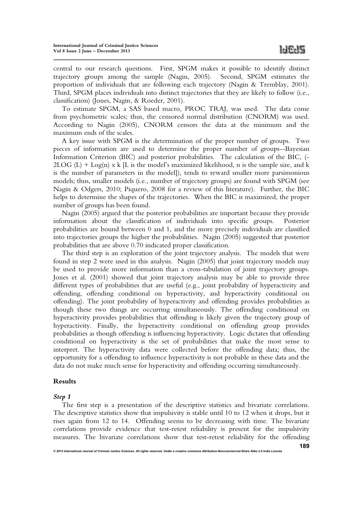central to our research questions. First, SPGM makes it possible to identify distinct trajectory groups among the sample (Nagin, 2005). Second, SPGM estimates the proportion of individuals that are following each trajectory (Nagin & Tremblay, 2001). Third, SPGM places individuals into distinct trajectories that they are likely to follow (i.e., classification) (Jones, Nagin, & Roeder, 2001).

To estimate SPGM, a SAS based macro, PROC TRAJ, was used. The data come from psychometric scales; thus, the censored normal distribution (CNORM) was used. According to Nagin (2005), CNORM censors the data at the minimum and the maximum ends of the scales.

A key issue with SPGM is the determination of the proper number of groups. Two pieces of information are used to determine the proper number of groups--Bayesian Information Criterion (BIC) and posterior probabilities. The calculation of the BIC, (-  $2LOG (L) + Log(n) \times k [L]$  is the model's maximized likelihood, n is the sample size, and k is the number of parameters in the model]), tends to reward smaller more parsimonious models; thus, smaller models (i.e., number of trajectory groups) are found with SPGM (see Nagin & Odgers, 2010; Piquero, 2008 for a review of this literature). Further, the BIC helps to determine the shapes of the trajectories. When the BIC is maximized, the proper number of groups has been found.

Nagin (2005) argued that the posterior probabilities are important because they provide information about the classification of individuals into specific groups. Posterior probabilities are bound between 0 and 1, and the more precisely individuals are classified into trajectories groups the higher the probabilities. Nagin (2005) suggested that posterior probabilities that are above 0.70 indicated proper classification.

The third step is an exploration of the joint trajectory analysis. The models that were found in step 2 were used in this analysis. Nagin (2005) that joint trajectory models may be used to provide more information than a cross-tabulation of joint trajectory groups. Jones et al. (2001) showed that joint trajectory analysis may be able to provide three different types of probabilities that are useful (e.g., joint probability of hyperactivity and offending, offending conditional on hyperactivity, and hyperactivity conditional on offending). The joint probability of hyperactivity and offending provides probabilities as though these two things are occurring simultaneously. The offending conditional on hyperactivity provides probabilities that offending is likely given the trajectory group of hyperactivity. Finally, the hyperactivity conditional on offending group provides probabilities as though offending is influencing hyperactivity. Logic dictates that offending conditional on hyperactivity is the set of probabilities that make the most sense to interpret. The hyperactivity data were collected before the offending data; thus, the opportunity for a offending to influence hyperactivity is not probable in these data and the data do not make much sense for hyperactivity and offending occurring simultaneously.

## **Results**

## *Step 1*

The first step is a presentation of the descriptive statistics and bivariate correlations. The descriptive statistics show that impulsivity is stable until 10 to 12 when it drops, but it rises again from 12 to 14. Offending seems to be decreasing with time. The bivariate correlations provide evidence that test-retest reliability is present for the impulsivity measures. The bivariate correlations show that test-retest reliability for the offending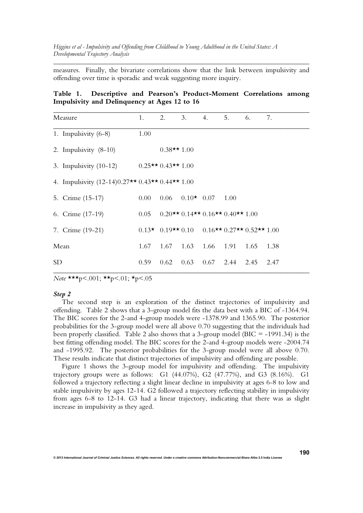measures. Finally, the bivariate correlations show that the link between impulsivity and offending over time is sporadic and weak suggesting more inquiry.

|                                                     |  | Table 1. Descriptive and Pearson's Product-Moment Correlations among |  |
|-----------------------------------------------------|--|----------------------------------------------------------------------|--|
| <b>Impulsivity and Delinquency at Ages 12 to 16</b> |  |                                                                      |  |

|           | Measure                                        | 1.                 | 2.                    | 3. | 4.                                             | 5.   | 6.   | 7.   |
|-----------|------------------------------------------------|--------------------|-----------------------|----|------------------------------------------------|------|------|------|
|           | 1. Impulsivity $(6-8)$                         | 1.00               |                       |    |                                                |      |      |      |
|           | 2. Impulsivity $(8-10)$                        |                    | $0.38**1.00$          |    |                                                |      |      |      |
|           | 3. Impulsivity $(10-12)$                       | $0.25**0.43**1.00$ |                       |    |                                                |      |      |      |
|           | 4. Impulsivity $(12-14)0.27**0.43**0.44**1.00$ |                    |                       |    |                                                |      |      |      |
|           | 5. Crime (15-17)                               | 0.00 <sub>1</sub>  | $0.06$ $0.10*$ $0.07$ |    |                                                | 1.00 |      |      |
|           | 6. Crime (17-19)                               | 0.05               |                       |    | $0.20$ ** $0.14$ ** $0.16$ ** $0.40$ ** $1.00$ |      |      |      |
|           | 7. Crime (19-21)                               |                    |                       |    | $0.13*$ 0.19** 0.10 0.16** 0.27** 0.52** 1.00  |      |      |      |
|           | Mean                                           | 1.67               | 1.67                  |    | 1.63 1.66 1.91                                 |      | 1.65 | 1.38 |
| <b>SD</b> |                                                | 0.59               | 0.62                  |    | $0.63$ $0.67$ 2.44 2.45                        |      |      | 2.47 |

*Note* \*\*\*p<.001; \*\*p<.01; \*p<.05

#### *Step 2*

The second step is an exploration of the distinct trajectories of impulsivity and offending. Table 2 shows that a 3-group model fits the data best with a BIC of -1364.94. The BIC scores for the 2-and 4-group models were -1378.99 and 1365.90. The posterior probabilities for the 3-group model were all above 0.70 suggesting that the individuals had been properly classified. Table 2 also shows that a 3-group model (BIC = -1991.34) is the best fitting offending model. The BIC scores for the 2-and 4-group models were -2004.74 and -1995.92. The posterior probabilities for the 3-group model were all above 0.70. These results indicate that distinct trajectories of impulsivity and offending are possible.

Figure 1 shows the 3-group model for impulsivity and offending. The impulsivity trajectory groups were as follows: G1 (44.07%), G2 (47.77%), and G3 (8.16%). G1 followed a trajectory reflecting a slight linear decline in impulsivity at ages 6-8 to low and stable impulsivity by ages 12-14. G2 followed a trajectory reflecting stability in impulsivity from ages 6-8 to 12-14. G3 had a linear trajectory, indicating that there was as slight increase in impulsivity as they aged.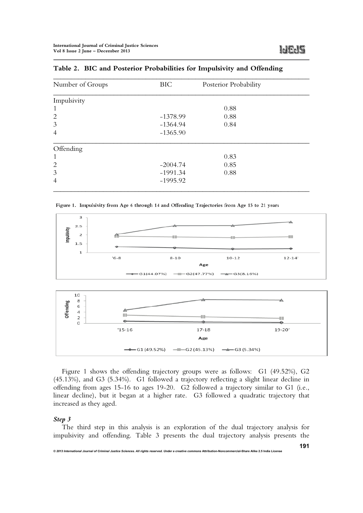| Number of Groups | <b>BIC</b> | Posterior Probability |  |
|------------------|------------|-----------------------|--|
| Impulsivity      |            |                       |  |
| 1                |            | 0.88                  |  |
| $\overline{2}$   | $-1378.99$ | 0.88                  |  |
| $\mathfrak{Z}$   | $-1364.94$ | 0.84                  |  |
| $\overline{4}$   | $-1365.90$ |                       |  |
| Offending        |            |                       |  |
| 1                |            | 0.83                  |  |
| $\overline{2}$   | $-2004.74$ | 0.85                  |  |
| 3                | $-1991.34$ | 0.88                  |  |
| $\overline{4}$   | $-1995.92$ |                       |  |
|                  |            |                       |  |

#### **Table 2. BIC and Posterior Probabilities for Impulsivity and Offending**

Figure 1. Impulsivity from Age 6 through 14 and Offending Trajectories from Age 15 to 21 years





Figure 1 shows the offending trajectory groups were as follows: G1 (49.52%), G2 (45.13%), and G3 (5.34%). G1 followed a trajectory reflecting a slight linear decline in offending from ages 15-16 to ages 19-20. G2 followed a trajectory similar to G1 (i.e., linear decline), but it began at a higher rate. G3 followed a quadratic trajectory that increased as they aged.

#### *Step 3*

The third step in this analysis is an exploration of the dual trajectory analysis for impulsivity and offending. Table 3 presents the dual trajectory analysis presents the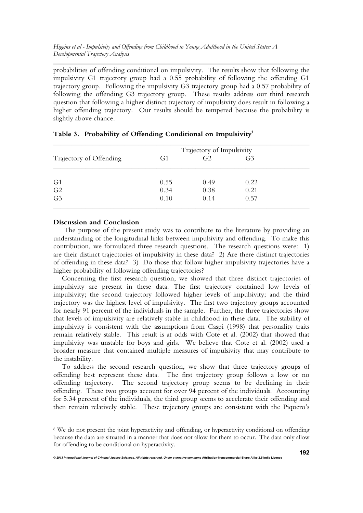probabilities of offending conditional on impulsivity. The results show that following the impulsivity G1 trajectory group had a 0.55 probability of following the offending G1 trajectory group. Following the impulsivity G3 trajectory group had a 0.57 probability of following the offending G3 trajectory group. These results address our third research question that following a higher distinct trajectory of impulsivity does result in following a higher offending trajectory. Our results should be tempered because the probability is slightly above chance.

|                         |                | Trajectory of Impulsivity |                |  |  |
|-------------------------|----------------|---------------------------|----------------|--|--|
| Trajectory of Offending | G <sub>1</sub> | G <sub>2</sub>            | G <sub>3</sub> |  |  |
| G <sub>1</sub>          | 0.55           | 0.49                      | 0.22           |  |  |
| G <sub>2</sub>          | 0.34           | 0.38                      | 0.21           |  |  |
| G <sub>3</sub>          | 0.10           | 0.14                      | 0.57           |  |  |

|  | Table 3. Probability of Offending Conditional on Impulsivity® |  |  |
|--|---------------------------------------------------------------|--|--|
|  |                                                               |  |  |

# **Discussion and Conclusion**

 The purpose of the present study was to contribute to the literature by providing an understanding of the longitudinal links between impulsivity and offending. To make this contribution, we formulated three research questions. The research questions were: 1) are their distinct trajectories of impulsivity in these data? 2) Are there distinct trajectories of offending in these data? 3) Do those that follow higher impulsivity trajectories have a higher probability of following offending trajectories?

Concerning the first research question, we showed that three distinct trajectories of impulsivity are present in these data. The first trajectory contained low levels of impulsivity; the second trajectory followed higher levels of impulsivity; and the third trajectory was the highest level of impulsivity. The first two trajectory groups accounted for nearly 91 percent of the individuals in the sample. Further, the three trajectories show that levels of impulsivity are relatively stable in childhood in these data. The stability of impulsivity is consistent with the assumptions from Caspi (1998) that personality traits remain relatively stable. This result is at odds with Cote et al. (2002) that showed that impulsivity was unstable for boys and girls. We believe that Cote et al. (2002) used a broader measure that contained multiple measures of impulsivity that may contribute to the instability.

To address the second research question, we show that three trajectory groups of offending best represent these data. The first trajectory group follows a low or no offending trajectory. The second trajectory group seems to be declining in their offending. These two groups account for over 94 percent of the individuals. Accounting for 5.34 percent of the individuals, the third group seems to accelerate their offending and then remain relatively stable. These trajectory groups are consistent with the Piquero's

<sup>&</sup>lt;sup>6</sup> We do not present the joint hyperactivity and offending, or hyperactivity conditional on offending because the data are situated in a manner that does not allow for them to occur. The data only allow for offending to be conditional on hyperactivity.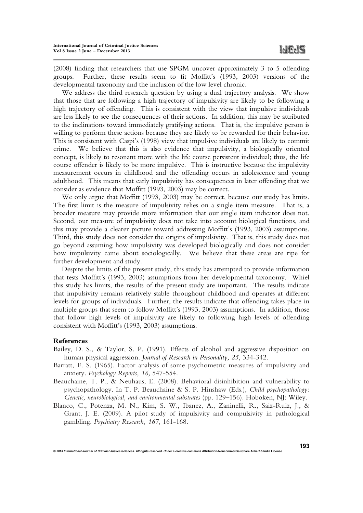(2008) finding that researchers that use SPGM uncover approximately 3 to 5 offending groups. Further, these results seem to fit Moffitt's (1993, 2003) versions of the developmental taxonomy and the inclusion of the low level chronic.

We address the third research question by using a dual trajectory analysis. We show that those that are following a high trajectory of impulsivity are likely to be following a high trajectory of offending. This is consistent with the view that impulsive individuals are less likely to see the consequences of their actions. In addition, this may be attributed to the inclinations toward immediately gratifying actions. That is, the impulsive person is willing to perform these actions because they are likely to be rewarded for their behavior. This is consistent with Caspi's (1998) view that impulsive individuals are likely to commit crime. We believe that this is also evidence that impulsivity, a biologically oriented concept, is likely to resonant more with the life course persistent individual; thus, the life course offender is likely to be more impulsive. This is instructive because the impulsivity measurement occurs in childhood and the offending occurs in adolescence and young adulthood. This means that early impulsivity has consequences in later offending that we consider as evidence that Moffitt (1993, 2003) may be correct.

We only argue that Moffitt (1993, 2003) may be correct, because our study has limits. The first limit is the measure of impulsivity relies on a single item measure. That is, a broader measure may provide more information that our single item indicator does not. Second, our measure of impulsivity does not take into account biological functions, and this may provide a clearer picture toward addressing Moffitt's (1993, 2003) assumptions. Third, this study does not consider the origins of impulsivity. That is, this study does not go beyond assuming how impulsivity was developed biologically and does not consider how impulsivity came about sociologically. We believe that these areas are ripe for further development and study.

Despite the limits of the present study, this study has attempted to provide information that tests Moffitt's (1993, 2003) assumptions from her developmental taxonomy. Whiel this study has limits, the results of the present study are important. The results indicate that impulsivity remains relatively stable throughout childhood and operates at different levels for groups of individuals. Further, the results indicate that offending takes place in multiple groups that seem to follow Moffitt's (1993, 2003) assumptions. In addition, those that follow high levels of impulsivity are likely to following high levels of offending consistent with Moffitt's (1993, 2003) assumptions.

## **References**

- Bailey, D. S., & Taylor, S. P. (1991). Effects of alcohol and aggressive disposition on human physical aggression. *Journal of Research in Personality, 25,* 334-342.
- Barratt, E. S. (1965). Factor analysis of some psychometric measures of impulsivity and anxiety. *Psychology Reports, 16,* 547-554.
- Beauchaine, T. P., & Neuhaus, E. (2008). Behavioral disinhibition and vulnerability to psychopathology. In T. P. Beauchaine & S. P. Hinshaw (Eds.), *Child psychopathology: Genetic, neurobiological, and environmental substrates* (pp. 129–156). Hoboken, NJ: Wiley.
- Blanco, C., Potenza, M. N., Kim, S. W., Ibanez, A., Zaninelli, R., Saiz-Ruiz, J., & Grant, J. E. (2009). A pilot study of impulsivity and compulsivity in pathological gambling. *Psychiatry Research, 167,* 161-168.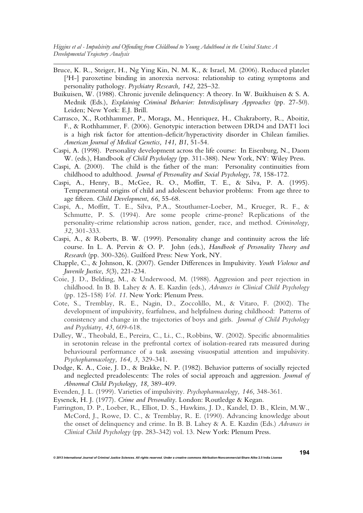- Bruce, K. R., Steiger, H., Ng Ying Kin, N. M. K., & Israel, M. (2006). Reduced platelet [³H-] paroxetine binding in anorexia nervosa: relationship to eating symptoms and personality pathology. *Psychiatry Research, 142,* 225–32.
- Buikuisen, W. (1988). Chronic juvenile delinquency: A theory. In W. Buikhuisen & S. A. Mednik (Eds.), *Explaining Criminal Behavior: Interdisciplinary Approaches* (pp. 27-50). Leiden; New York: E.J. Brill.
- Carrasco, X., Rothhammer, P., Moraga, M., Henriquez, H., Chakraborty, R., Aboitiz, F., & Rothhammer, F. (2006). Genotypic interaction between DRD4 and DAT1 loci is a high risk factor for attention-deficit/hyperactivity disorder in Chilean families. *American Journal of Medical Genetics, 141, B1*, 51-54.
- Caspi, A. (1998). Personality development across the life course: In Eisenburg, N., Daom W. (eds.), Handbook *of Child Psychology* (pp. 311-388). New York, NY: Wiley Press.
- Caspi, A. (2000). The child is the father of the man: Personality continuities from childhood to adulthood. *Journal of Personality and Social Psychology*, *78*, 158-172.
- Caspi, A., Henry, B., McGee, R. O., Moffitt, T. E., & Silva, P. A. (1995). Temperamental origins of child and adolescent behavior problems: From age three to age fifteen. *Child Development*, *66*, 55-68.
- Caspi, A., Moffitt, T. E., Silva, P.A., Stouthamer-Loeber, M., Krueger, R. F., & Schmutte, P. S. (1994). Are some people crime-prone? Replications of the personality-crime relationship across nation, gender, race, and method. *Criminology, 32,* 301-333.
- Caspi, A., & Roberts, B. W. (1999). Personality change and continuity across the life course. In L. A. Pervin & O. P. John (eds.), *Handbook of Personality Theory and Research* (pp. 300-326). Guilford Press: New York, NY.
- Chapple, C., & Johnson, K. (2007). Gender Differences in Impulsivity. *Youth Violence and Juvenile Justice*, *5*(3), 221-234.
- Coie, J. D., Belding, M., & Underwood, M. (1988). Aggression and peer rejection in childhood. In B. B. Lahey & A. E. Kazdin (eds.), *Advances in Clinical Child Psychology*  (pp. 125-158) *Vol. 11*. New York: Plenum Press.
- Cote, S., Tremblay, R. E., Nagin, D., Zoccolillo, M., & Vitaro, F. (2002). The development of impulsivity, fearfulness, and helpfulness during childhood: Patterns of consistency and change in the trajectories of boys and girls. *Journal of Child Psychology and Psychiatry*, *43*, 609-618.
- Dalley, W., Theobald, E., Pereira, C., Li., C., Robbins, W. (2002). Specific abnormalities in serotonin release in the prefrontal cortex of isolation-reared rats measured during behavioural performance of a task assessing visuospatial attention and impulsivity. *Psychopharmacology, 164, 3,* 329-341.
- Dodge, K. A., Coie, J. D., & Brakke, N. P. (1982). Behavior patterns of socially rejected and neglected preadolescents: The roles of social approach and aggression. *Journal of Abnormal Child Psychology, 18,* 389-409.
- Evenden, J. L. (1999). Varieties of impulsivity. *Psychopharmacology, 146,* 348-361.

- Eysenck, H. J. (1977). *Crime and Personality*. London: Routledge & Kegan.
- Farrington, D. P., Loeber, R., Elliot, D. S., Hawkins, J. D., Kandel, D. B., Klein, M.W., McCord, J., Rowe, D. C., & Tremblay, R. E. (1990). Advancing knowledge about the onset of delinquency and crime. In B. B. Lahey & A. E. Kazdin (Eds.) *Advances in Clinical Child Psychology* (pp. 283-342) vol. 13. New York: Plenum Press.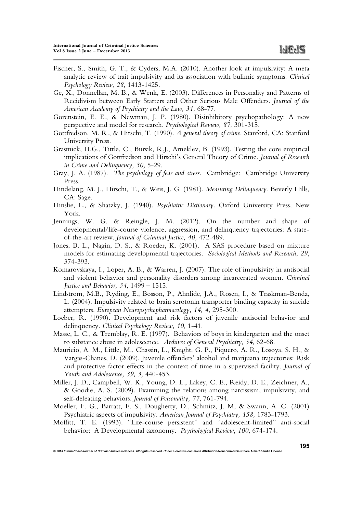- Fischer, S., Smith, G. T., & Cyders, M.A. (2010). Another look at impulsivity: A meta analytic review of trait impulsivity and its association with bulimic symptoms. *Clinical Psychology Review, 28,* 1413-1425.
- Ge, X., Donnellan, M. B., & Wenk, E. (2003). Differences in Personality and Patterns of Recidivism between Early Starters and Other Serious Male Offenders. *Journal of the American Academy of Psychiatry and the Law, 31,* 68-77.
- Gorenstein, E. E., & Newman, J. P. (1980). Disinhibitory psychopathology: A new perspective and model for research. *Psychological Review, 87,* 301-315.
- Gottfredson, M. R., & Hirschi, T. (1990). *A general theory of crime*. Stanford, CA: Stanford University Press.
- Grasmick, H.G., Tittle, C., Bursik, R.J., Arneklev, B. (1993). Testing the core empirical implications of Gottfredson and Hirschi's General Theory of Crime. *Journal of Research in Crime and Delinquency, 30,* 5-29.
- Gray, J. A. (1987). *The psychology of fear and stress*. Cambridge: Cambridge University Press.
- Hindelang, M. J., Hirschi, T., & Weis, J. G. (1981). *Measuring Delinquency*. Beverly Hills, CA: Sage.
- Hinslie, L., & Shatzky, J. (1940). *Psychiatric Dictionary*. Oxford University Press, New York.
- Jennings, W. G. & Reingle, J. M. (2012). On the number and shape of developmental/life-course violence, aggression, and delinquency trajectories: A stateof-the-art review. *Journal of Criminal Justice, 40,* 472-489.
- Jones, B. L., Nagin, D. S., & Roeder, K. (2001). A SAS procedure based on mixture models for estimating developmental trajectories. *Sociological Methods and Research*, *29*, 374-393.
- Komarovskaya, I., Loper, A. B., & Warren, J. (2007). The role of impulsivity in antisocial and violent behavior and personality disorders among incarcerated women. *Criminal Justice and Behavior, 34,* 1499 – 1515.
- Lindstrom, M.B., Ryding, E., Bosson, P., Ahnlide, J.A., Rosen, I., & Traskman-Bendz, L. (2004). Impulsivity related to brain serotonin transporter binding capacity in suicide attempters. *European Neuropsychopharmacology, 14, 4,* 295-300.
- Loeber, R. (1990). Development and risk factors of juvenile antisocial behavior and delinquency. *Clinical Psychology Review, 10,* 1-41.
- Masse, L. C., & Tremblay, R. E. (1997). Behaviors of boys in kindergarten and the onset to substance abuse in adolescence. *Archives of General Psychiatry*, *54*, 62-68.
- Mauricio, A. M., Little, M., Chassin, L., Knight, G. P., Piquero, A. R., Losoya, S. H., & Vargas-Chanes, D. (2009). Juvenile offenders' alcohol and marijuana trajectories: Risk and protective factor effects in the context of time in a supervised facility. *Journal of Youth and Adolescence, 39, 3,* 440-453.
- Miller, J. D., Campbell, W. K., Young, D. L., Lakey, C. E., Reidy, D. E., Zeichner, A., & Goodie, A. S. (2009). Examining the relations among narcissism, impulsivity, and self-defeating behaviors. *Journal of Personality, 77*, 761-794.
- Moeller, F. G., Barratt, E. S., Dougherty, D., Schmitz, J. M, & Swann, A. C. (2001) Psychiatric aspects of impulsivity. *American Journal of Psychiatry, 158,* 1783-1793.
- Moffitt, T. E. (1993). "Life-course persistent" and "adolescent-limited" anti-social behavior: A Developmental taxonomy. *Psychological Review*, *100*, 674-174.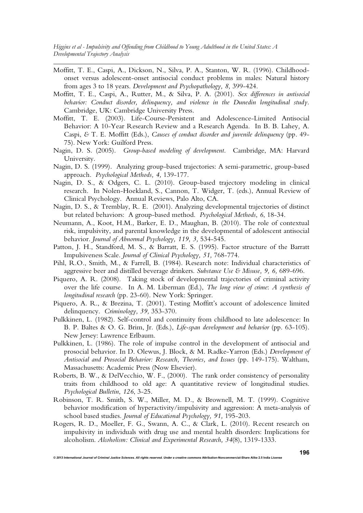- Moffitt, T. E., Caspi, A., Dickson, N., Silva, P. A., Stanton, W. R. (1996). Childhoodonset versus adolescent-onset antisocial conduct problems in males: Natural history from ages 3 to 18 years. *Development and Psychopathology, 8,* 399-424.
- Moffitt, T. E., Caspi, A., Rutter, M., & Silva, P. A. (2001). *Sex differences in antisocial behavior: Conduct disorder, delinquency, and violence in the Dunedin longitudinal study.* Cambridge, UK: Cambridge University Press.
- Moffitt, T. E. (2003). Life-Course-Persistent and Adolescence-Limited Antisocial Behavior: A 10-Year Research Review and a Research Agenda. In B. B. Lahey*,* A. Caspi, *&* T. E. Moffitt (Eds.), *Causes of conduct disorder and juvenile delinquency* (pp. 49- 75). New York: Guilford Press.
- Nagin, D. S. (2005). *Group-based modeling of development*. Cambridge, MA: Harvard University.
- Nagin, D. S. (1999). Analyzing group-based trajectories: A semi-parametric, group-based approach. *Psychological Methods, 4,* 139-177.
- Nagin, D. S., & Odgers, C. L. (2010). Group-based trajectory modeling in clinical research. In Nolen-Hoekland, S., Cannon, T. Widger, T. (eds.), Annual Review of Clinical Psychology. Annual Reviews, Palo Alto, CA.
- Nagin, D. S., & Tremblay, R. E. (2001). Analyzing developmental trajectories of distinct but related behaviors: A group-based method. *Psychological Methods*, *6*, 18-34.
- Neumann, A., Koot, H.M., Barker, E. D., Maughan, B. (2010). The role of contextual risk, impulsivity, and parental knowledge in the developmental of adolescent antisocial behavior. *Journal of Abnormal Psychology, 119, 3,* 534-545.
- Patton, J. H., Standford, M. S., & Barratt, E. S. (1995). Factor structure of the Barratt Impulsiveness Scale. *Journal of Clinical Psychology, 51,* 768-774.
- Pihl, R.O., Smith, M., & Farrell, B. (1984). Research note: Individual characteristics of aggressive beer and distilled beverage drinkers. *Substance Use & Misuse, 9, 6,* 689-696.
- Piquero, A. R. (2008). Taking stock of developmental trajectories of criminal activity over the life course. In A. M. Liberman (Ed.), *The long view of crime*: *A synthesis of longitudinal research* (pp. 23-60). New York: Springer.
- Piquero, A. R., & Brezina, T. (2001). Testing Moffitt's account of adolescence limited delinquency. *Criminology, 39,* 353-370.
- Pulkkinen, L. (1982). Self-control and continuity from childhood to late adolescence: In B. P. Baltes & O. G. Brim, Jr. (Eds.), *Life-span development and behavior* (pp. 63-105). New Jersey: Lawrence Erlbaum.
- Pulkkinen, L. (1986). The role of impulse control in the development of antisocial and prosocial behavior. In D. Olewus, J. Block, & M. Radke-Yarron (Eds.) *Development of Antisocial and Prosocial Behavior: Research, Theories, and Issues* (pp. 149-175). Waltham, Massachusetts: Academic Press (Now Elsevier).
- Roberts, B. W., & DelVecchio, W. F., (2000). The rank order consistency of personality traits from childhood to old age: A quantitative review of longitudinal studies. *Psychological Bulletin*, *126*, 3-25.
- Robinson, T. R. Smith, S. W., Miller, M. D., & Brownell, M. T. (1999). Cognitive behavior modification of hyperactivity/impulsivity and aggression: A meta-analysis of school based studies. *Journal of Educational Psychology, 91,* 195-203.
- Rogers, R. D., Moeller, F. G., Swann, A. C., & Clark, L. (2010). Recent research on impulsivity in individuals with drug use and mental health disorders: Implications for alcoholism. *Alcoholism: Clinical and Experimental Research, 34*(8), 1319-1333.